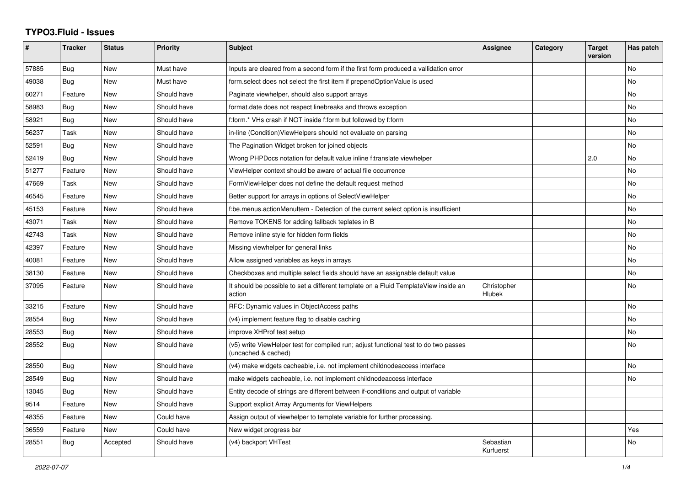## **TYPO3.Fluid - Issues**

| #     | <b>Tracker</b> | <b>Status</b> | <b>Priority</b> | <b>Subject</b>                                                                                              | Assignee                     | Category | <b>Target</b><br>version | Has patch |
|-------|----------------|---------------|-----------------|-------------------------------------------------------------------------------------------------------------|------------------------------|----------|--------------------------|-----------|
| 57885 | Bug            | <b>New</b>    | Must have       | Inputs are cleared from a second form if the first form produced a vallidation error                        |                              |          |                          | <b>No</b> |
| 49038 | Bug            | New           | Must have       | form.select does not select the first item if prependOptionValue is used                                    |                              |          |                          | <b>No</b> |
| 60271 | Feature        | New           | Should have     | Paginate viewhelper, should also support arrays                                                             |                              |          |                          | No        |
| 58983 | Bug            | New           | Should have     | format.date does not respect linebreaks and throws exception                                                |                              |          |                          | No        |
| 58921 | Bug            | <b>New</b>    | Should have     | f:form.* VHs crash if NOT inside f:form but followed by f:form                                              |                              |          |                          | <b>No</b> |
| 56237 | Task           | <b>New</b>    | Should have     | in-line (Condition) View Helpers should not evaluate on parsing                                             |                              |          |                          | <b>No</b> |
| 52591 | <b>Bug</b>     | New           | Should have     | The Pagination Widget broken for joined objects                                                             |                              |          |                          | <b>No</b> |
| 52419 | Bug            | New           | Should have     | Wrong PHPDocs notation for default value inline f:translate viewhelper                                      |                              |          | 2.0                      | No        |
| 51277 | Feature        | New           | Should have     | ViewHelper context should be aware of actual file occurrence                                                |                              |          |                          | <b>No</b> |
| 47669 | Task           | <b>New</b>    | Should have     | FormViewHelper does not define the default request method                                                   |                              |          |                          | <b>No</b> |
| 46545 | Feature        | New           | Should have     | Better support for arrays in options of SelectViewHelper                                                    |                              |          |                          | No        |
| 45153 | Feature        | New           | Should have     | f:be.menus.actionMenuItem - Detection of the current select option is insufficient                          |                              |          |                          | No        |
| 43071 | Task           | New           | Should have     | Remove TOKENS for adding fallback teplates in B                                                             |                              |          |                          | No        |
| 42743 | Task           | <b>New</b>    | Should have     | Remove inline style for hidden form fields                                                                  |                              |          |                          | No        |
| 42397 | Feature        | New           | Should have     | Missing viewhelper for general links                                                                        |                              |          |                          | <b>No</b> |
| 40081 | Feature        | New           | Should have     | Allow assigned variables as keys in arrays                                                                  |                              |          |                          | No        |
| 38130 | Feature        | New           | Should have     | Checkboxes and multiple select fields should have an assignable default value                               |                              |          |                          | No        |
| 37095 | Feature        | New           | Should have     | It should be possible to set a different template on a Fluid TemplateView inside an<br>action               | Christopher<br><b>Hlubek</b> |          |                          | <b>No</b> |
| 33215 | Feature        | <b>New</b>    | Should have     | RFC: Dynamic values in ObjectAccess paths                                                                   |                              |          |                          | <b>No</b> |
| 28554 | <b>Bug</b>     | New           | Should have     | (v4) implement feature flag to disable caching                                                              |                              |          |                          | No        |
| 28553 | Bug            | New           | Should have     | improve XHProf test setup                                                                                   |                              |          |                          | No        |
| 28552 | <b>Bug</b>     | <b>New</b>    | Should have     | (v5) write ViewHelper test for compiled run; adjust functional test to do two passes<br>(uncached & cached) |                              |          |                          | <b>No</b> |
| 28550 | <b>Bug</b>     | New           | Should have     | (v4) make widgets cacheable, i.e. not implement childnodeaccess interface                                   |                              |          |                          | <b>No</b> |
| 28549 | <b>Bug</b>     | New           | Should have     | make widgets cacheable, i.e. not implement childnodeaccess interface                                        |                              |          |                          | <b>No</b> |
| 13045 | Bug            | New           | Should have     | Entity decode of strings are different between if-conditions and output of variable                         |                              |          |                          |           |
| 9514  | Feature        | <b>New</b>    | Should have     | Support explicit Array Arguments for ViewHelpers                                                            |                              |          |                          |           |
| 48355 | Feature        | <b>New</b>    | Could have      | Assign output of viewhelper to template variable for further processing.                                    |                              |          |                          |           |
| 36559 | Feature        | New           | Could have      | New widget progress bar                                                                                     |                              |          |                          | Yes       |
| 28551 | <b>Bug</b>     | Accepted      | Should have     | (v4) backport VHTest                                                                                        | Sebastian<br>Kurfuerst       |          |                          | No        |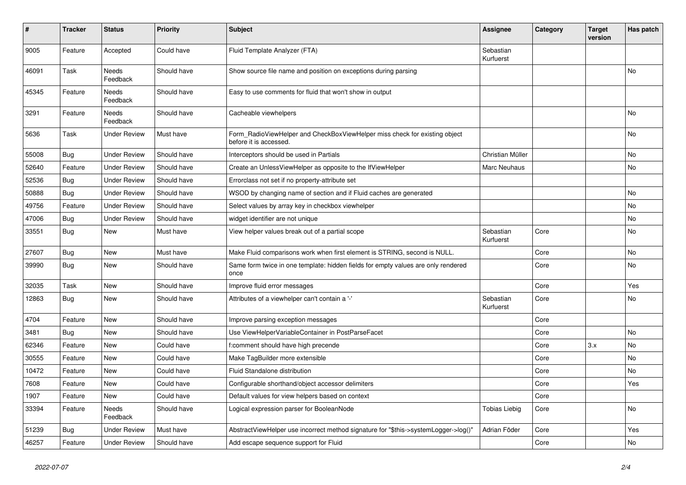| #     | <b>Tracker</b> | <b>Status</b>            | <b>Priority</b> | <b>Subject</b>                                                                                       | Assignee               | Category | Target<br>version | Has patch |
|-------|----------------|--------------------------|-----------------|------------------------------------------------------------------------------------------------------|------------------------|----------|-------------------|-----------|
| 9005  | Feature        | Accepted                 | Could have      | Fluid Template Analyzer (FTA)                                                                        | Sebastian<br>Kurfuerst |          |                   |           |
| 46091 | Task           | <b>Needs</b><br>Feedback | Should have     | Show source file name and position on exceptions during parsing                                      |                        |          |                   | No        |
| 45345 | Feature        | Needs<br>Feedback        | Should have     | Easy to use comments for fluid that won't show in output                                             |                        |          |                   |           |
| 3291  | Feature        | <b>Needs</b><br>Feedback | Should have     | Cacheable viewhelpers                                                                                |                        |          |                   | <b>No</b> |
| 5636  | Task           | <b>Under Review</b>      | Must have       | Form_RadioViewHelper and CheckBoxViewHelper miss check for existing object<br>before it is accessed. |                        |          |                   | No        |
| 55008 | <b>Bug</b>     | <b>Under Review</b>      | Should have     | Interceptors should be used in Partials                                                              | Christian Müller       |          |                   | No        |
| 52640 | Feature        | <b>Under Review</b>      | Should have     | Create an UnlessViewHelper as opposite to the IfViewHelper                                           | Marc Neuhaus           |          |                   | No        |
| 52536 | Bug            | <b>Under Review</b>      | Should have     | Errorclass not set if no property-attribute set                                                      |                        |          |                   |           |
| 50888 | Bug            | <b>Under Review</b>      | Should have     | WSOD by changing name of section and if Fluid caches are generated                                   |                        |          |                   | <b>No</b> |
| 49756 | Feature        | <b>Under Review</b>      | Should have     | Select values by array key in checkbox viewhelper                                                    |                        |          |                   | No        |
| 47006 | <b>Bug</b>     | Under Review             | Should have     | widget identifier are not unique                                                                     |                        |          |                   | No        |
| 33551 | Bug            | New                      | Must have       | View helper values break out of a partial scope                                                      | Sebastian<br>Kurfuerst | Core     |                   | No        |
| 27607 | Bug            | <b>New</b>               | Must have       | Make Fluid comparisons work when first element is STRING, second is NULL.                            |                        | Core     |                   | <b>No</b> |
| 39990 | Bug            | <b>New</b>               | Should have     | Same form twice in one template: hidden fields for empty values are only rendered<br>once            |                        | Core     |                   | <b>No</b> |
| 32035 | Task           | New                      | Should have     | Improve fluid error messages                                                                         |                        | Core     |                   | Yes       |
| 12863 | <b>Bug</b>     | New                      | Should have     | Attributes of a viewhelper can't contain a '-'                                                       | Sebastian<br>Kurfuerst | Core     |                   | No        |
| 4704  | Feature        | New                      | Should have     | Improve parsing exception messages                                                                   |                        | Core     |                   |           |
| 3481  | Bug            | New                      | Should have     | Use ViewHelperVariableContainer in PostParseFacet                                                    |                        | Core     |                   | No        |
| 62346 | Feature        | New                      | Could have      | f:comment should have high precende                                                                  |                        | Core     | 3.x               | <b>No</b> |
| 30555 | Feature        | New                      | Could have      | Make TagBuilder more extensible                                                                      |                        | Core     |                   | <b>No</b> |
| 10472 | Feature        | New                      | Could have      | <b>Fluid Standalone distribution</b>                                                                 |                        | Core     |                   | No        |
| 7608  | Feature        | New                      | Could have      | Configurable shorthand/object accessor delimiters                                                    |                        | Core     |                   | Yes       |
| 1907  | Feature        | New                      | Could have      | Default values for view helpers based on context                                                     |                        | Core     |                   |           |
| 33394 | Feature        | Needs<br>Feedback        | Should have     | Logical expression parser for BooleanNode                                                            | Tobias Liebig          | Core     |                   | No        |
| 51239 | Bug            | <b>Under Review</b>      | Must have       | AbstractViewHelper use incorrect method signature for "\$this->systemLogger->log()"                  | Adrian Föder           | Core     |                   | Yes       |
| 46257 | Feature        | <b>Under Review</b>      | Should have     | Add escape sequence support for Fluid                                                                |                        | Core     |                   | No        |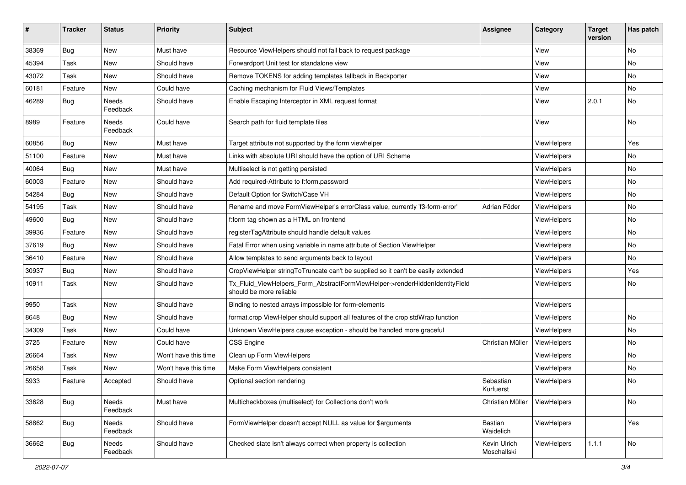| ∦     | <b>Tracker</b> | <b>Status</b>     | <b>Priority</b>      | Subject                                                                                                | <b>Assignee</b>             | Category    | <b>Target</b><br>version | Has patch |
|-------|----------------|-------------------|----------------------|--------------------------------------------------------------------------------------------------------|-----------------------------|-------------|--------------------------|-----------|
| 38369 | Bug            | New               | Must have            | Resource ViewHelpers should not fall back to request package                                           |                             | View        |                          | <b>No</b> |
| 45394 | Task           | New               | Should have          | Forwardport Unit test for standalone view                                                              |                             | View        |                          | No        |
| 43072 | Task           | New               | Should have          | Remove TOKENS for adding templates fallback in Backporter                                              |                             | View        |                          | No        |
| 60181 | Feature        | New               | Could have           | Caching mechanism for Fluid Views/Templates                                                            |                             | View        |                          | No        |
| 46289 | <b>Bug</b>     | Needs<br>Feedback | Should have          | Enable Escaping Interceptor in XML request format                                                      |                             | View        | 2.0.1                    | No        |
| 8989  | Feature        | Needs<br>Feedback | Could have           | Search path for fluid template files                                                                   |                             | View        |                          | No        |
| 60856 | Bug            | <b>New</b>        | Must have            | Target attribute not supported by the form viewhelper                                                  |                             | ViewHelpers |                          | Yes       |
| 51100 | Feature        | New               | Must have            | Links with absolute URI should have the option of URI Scheme                                           |                             | ViewHelpers |                          | No        |
| 40064 | Bug            | New               | Must have            | Multiselect is not getting persisted                                                                   |                             | ViewHelpers |                          | No        |
| 60003 | Feature        | New               | Should have          | Add required-Attribute to f:form.password                                                              |                             | ViewHelpers |                          | No        |
| 54284 | Bug            | New               | Should have          | Default Option for Switch/Case VH                                                                      |                             | ViewHelpers |                          | No        |
| 54195 | Task           | New               | Should have          | Rename and move FormViewHelper's errorClass value, currently 'f3-form-error'                           | Adrian Föder                | ViewHelpers |                          | No        |
| 49600 | <b>Bug</b>     | New               | Should have          | f:form tag shown as a HTML on frontend                                                                 |                             | ViewHelpers |                          | No        |
| 39936 | Feature        | New               | Should have          | registerTagAttribute should handle default values                                                      |                             | ViewHelpers |                          | No        |
| 37619 | Bug            | New               | Should have          | Fatal Error when using variable in name attribute of Section ViewHelper                                |                             | ViewHelpers |                          | No        |
| 36410 | Feature        | New               | Should have          | Allow templates to send arguments back to layout                                                       |                             | ViewHelpers |                          | No        |
| 30937 | Bug            | New               | Should have          | CropViewHelper stringToTruncate can't be supplied so it can't be easily extended                       |                             | ViewHelpers |                          | Yes       |
| 10911 | Task           | New               | Should have          | Tx_Fluid_ViewHelpers_Form_AbstractFormViewHelper->renderHiddenIdentityField<br>should be more reliable |                             | ViewHelpers |                          | No        |
| 9950  | Task           | <b>New</b>        | Should have          | Binding to nested arrays impossible for form-elements                                                  |                             | ViewHelpers |                          |           |
| 8648  | <b>Bug</b>     | New               | Should have          | format.crop ViewHelper should support all features of the crop stdWrap function                        |                             | ViewHelpers |                          | No        |
| 34309 | Task           | New               | Could have           | Unknown ViewHelpers cause exception - should be handled more graceful                                  |                             | ViewHelpers |                          | No        |
| 3725  | Feature        | New               | Could have           | <b>CSS Engine</b>                                                                                      | Christian Müller            | ViewHelpers |                          | No        |
| 26664 | Task           | New               | Won't have this time | Clean up Form ViewHelpers                                                                              |                             | ViewHelpers |                          | No        |
| 26658 | Task           | New               | Won't have this time | Make Form ViewHelpers consistent                                                                       |                             | ViewHelpers |                          | <b>No</b> |
| 5933  | Feature        | Accepted          | Should have          | Optional section rendering                                                                             | Sebastian<br>Kurtuerst      | ViewHelpers |                          | No        |
| 33628 | <b>Bug</b>     | Needs<br>Feedback | Must have            | Multicheckboxes (multiselect) for Collections don't work                                               | Christian Müller            | ViewHelpers |                          | No        |
| 58862 | Bug            | Needs<br>Feedback | Should have          | FormViewHelper doesn't accept NULL as value for \$arguments                                            | Bastian<br>Waidelich        | ViewHelpers |                          | Yes       |
| 36662 | Bug            | Needs<br>Feedback | Should have          | Checked state isn't always correct when property is collection                                         | Kevin Ulrich<br>Moschallski | ViewHelpers | 1.1.1                    | No        |